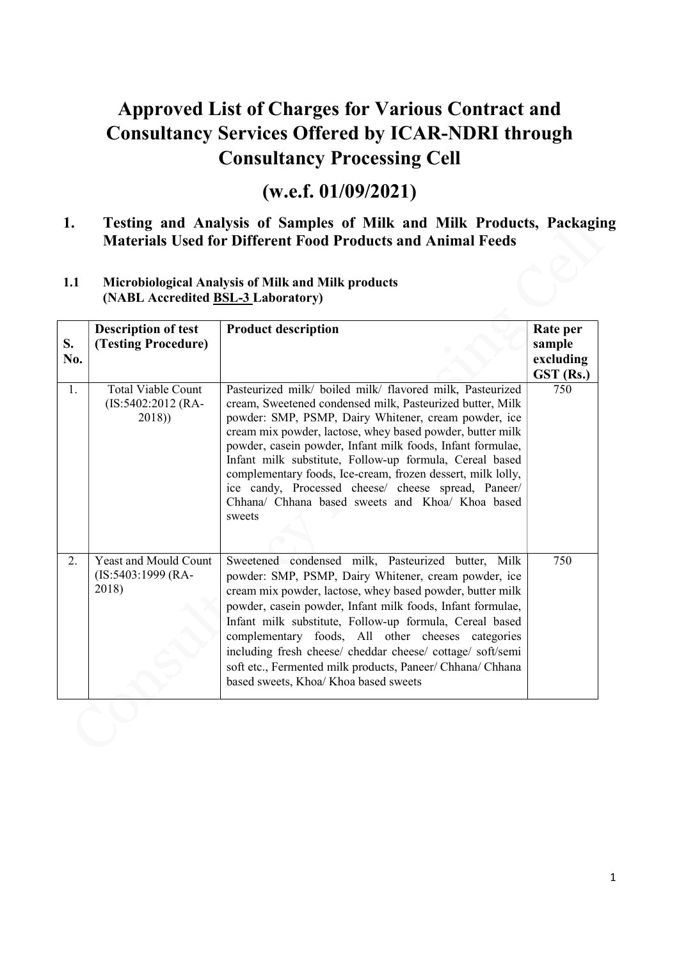# Approved List of Charges for Various Contract and Consultancy Services Offered by ICAR-NDRI through Consultancy Processing Cell

# (w.e.f. 01/09/2021)

#### 1. Testing and Analysis of Samples of Milk and Milk Products, Packaging Materials Used for Different Food Products and Animal Feeds

#### 1.1 Microbiological Analysis of Milk and Milk products (NABL Accredited BSL-3 Laboratory)

| S.<br>No. | <b>Description of test</b><br>(Testing Procedure)           | <b>Product description</b>                                                                                                                                                                                                                                                                                                                                                                                                                                                                                                                               | Rate per<br>sample<br>excluding<br>GST (Rs.) |
|-----------|-------------------------------------------------------------|----------------------------------------------------------------------------------------------------------------------------------------------------------------------------------------------------------------------------------------------------------------------------------------------------------------------------------------------------------------------------------------------------------------------------------------------------------------------------------------------------------------------------------------------------------|----------------------------------------------|
| 1.        | <b>Total Viable Count</b><br>$(IS:5402:2012)$ (RA-<br>2018) | Pasteurized milk/ boiled milk/ flavored milk, Pasteurized<br>cream, Sweetened condensed milk, Pasteurized butter, Milk<br>powder: SMP, PSMP, Dairy Whitener, cream powder, ice<br>cream mix powder, lactose, whey based powder, butter milk<br>powder, casein powder, Infant milk foods, Infant formulae,<br>Infant milk substitute, Follow-up formula, Cereal based<br>complementary foods, Ice-cream, frozen dessert, milk lolly,<br>ice candy, Processed cheese/ cheese spread, Paneer/<br>Chhana/ Chhana based sweets and Khoa/ Khoa based<br>sweets | 750                                          |
| 2.        | Yeast and Mould Count<br>$(IS:5403:1999 (RA-$<br>2018)      | Sweetened condensed milk, Pasteurized butter, Milk<br>powder: SMP, PSMP, Dairy Whitener, cream powder, ice<br>cream mix powder, lactose, whey based powder, butter milk<br>powder, casein powder, Infant milk foods, Infant formulae,<br>Infant milk substitute, Follow-up formula, Cereal based<br>complementary foods, All other cheeses categories<br>including fresh cheese/ cheddar cheese/ cottage/ soft/semi<br>soft etc., Fermented milk products, Paneer/ Chhana/ Chhana<br>based sweets, Khoa/Khoa based sweets                                | 750                                          |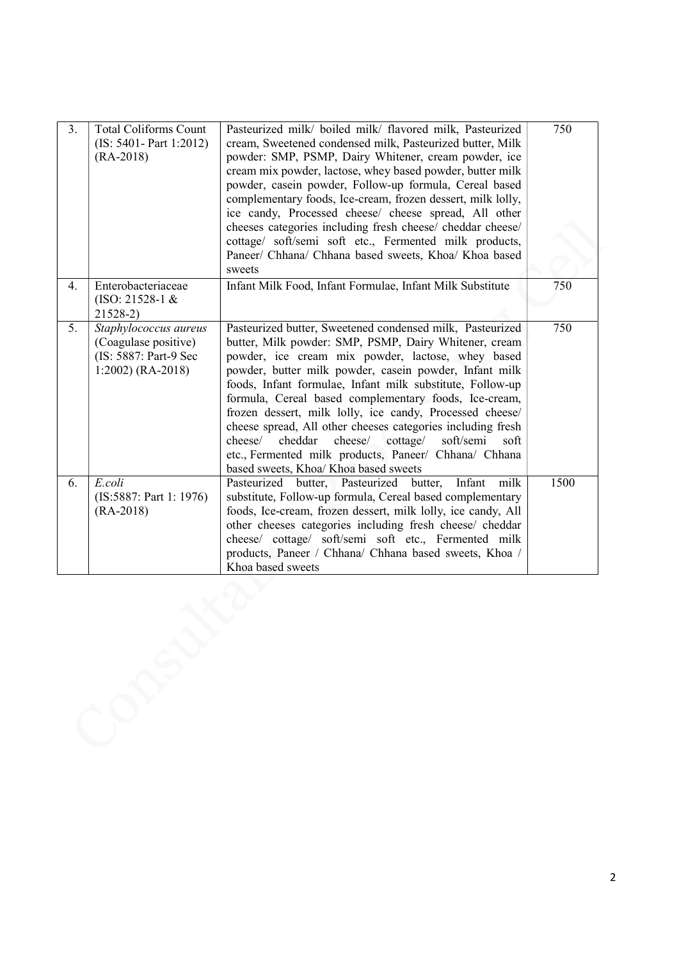| 3. | <b>Total Coliforms Count</b><br>$(IS: 5401 - Part 1:2012)$<br>$(RA-2018)$                     | Pasteurized milk/ boiled milk/ flavored milk, Pasteurized<br>cream, Sweetened condensed milk, Pasteurized butter, Milk<br>powder: SMP, PSMP, Dairy Whitener, cream powder, ice<br>cream mix powder, lactose, whey based powder, butter milk<br>powder, casein powder, Follow-up formula, Cereal based<br>complementary foods, Ice-cream, frozen dessert, milk lolly,<br>ice candy, Processed cheese/ cheese spread, All other<br>cheeses categories including fresh cheese/ cheddar cheese/<br>cottage/ soft/semi soft etc., Fermented milk products,<br>Paneer/ Chhana/ Chhana based sweets, Khoa/ Khoa based<br>sweets                               | 750  |
|----|-----------------------------------------------------------------------------------------------|--------------------------------------------------------------------------------------------------------------------------------------------------------------------------------------------------------------------------------------------------------------------------------------------------------------------------------------------------------------------------------------------------------------------------------------------------------------------------------------------------------------------------------------------------------------------------------------------------------------------------------------------------------|------|
| 4. | Enterobacteriaceae<br>$(ISO: 21528-1 &$<br>$21528-2$                                          | Infant Milk Food, Infant Formulae, Infant Milk Substitute                                                                                                                                                                                                                                                                                                                                                                                                                                                                                                                                                                                              | 750  |
| 5. | Staphylococcus aureus<br>(Coagulase positive)<br>(IS: 5887: Part-9 Sec<br>$1:2002)$ (RA-2018) | Pasteurized butter, Sweetened condensed milk, Pasteurized<br>butter, Milk powder: SMP, PSMP, Dairy Whitener, cream<br>powder, ice cream mix powder, lactose, whey based<br>powder, butter milk powder, casein powder, Infant milk<br>foods, Infant formulae, Infant milk substitute, Follow-up<br>formula, Cereal based complementary foods, Ice-cream,<br>frozen dessert, milk lolly, ice candy, Processed cheese/<br>cheese spread, All other cheeses categories including fresh<br>cheddar<br>cheese/<br>cottage/<br>soft/semi<br>cheese/<br>soft<br>etc., Fermented milk products, Paneer/ Chhana/ Chhana<br>based sweets, Khoa/ Khoa based sweets | 750  |
| 6. | E.coli<br>(IS:5887: Part 1: 1976)<br>$(RA-2018)$                                              | Pasteurized butter, Pasteurized butter,<br>Infant<br>milk<br>substitute, Follow-up formula, Cereal based complementary<br>foods, Ice-cream, frozen dessert, milk lolly, ice candy, All<br>other cheeses categories including fresh cheese/ cheddar<br>cheese/ cottage/ soft/semi soft etc., Fermented milk<br>products, Paneer / Chhana/ Chhana based sweets, Khoa /<br>Khoa based sweets                                                                                                                                                                                                                                                              | 1500 |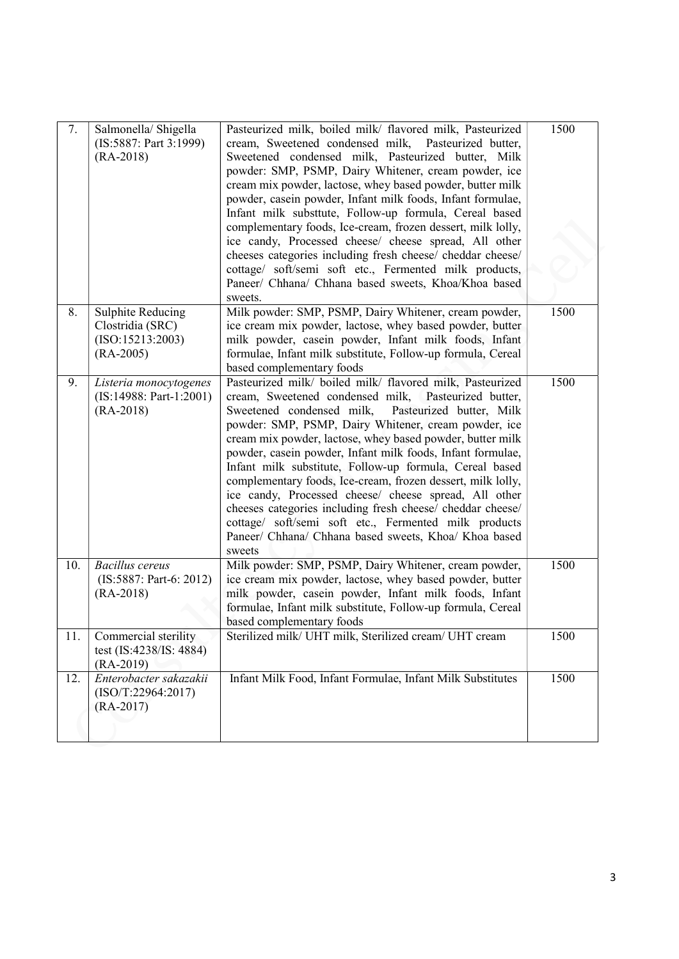| 7.  | Salmonella/ Shigella<br>(IS:5887: Part 3:1999)<br>$(RA-2018)$                   | Pasteurized milk, boiled milk/ flavored milk, Pasteurized<br>cream, Sweetened condensed milk,<br>Pasteurized butter,<br>Sweetened condensed milk, Pasteurized butter, Milk<br>powder: SMP, PSMP, Dairy Whitener, cream powder, ice<br>cream mix powder, lactose, whey based powder, butter milk<br>powder, casein powder, Infant milk foods, Infant formulae,<br>Infant milk substtute, Follow-up formula, Cereal based<br>complementary foods, Ice-cream, frozen dessert, milk lolly,<br>ice candy, Processed cheese/ cheese spread, All other<br>cheeses categories including fresh cheese/ cheddar cheese/<br>cottage/ soft/semi soft etc., Fermented milk products,<br>Paneer/ Chhana/ Chhana based sweets, Khoa/Khoa based<br>sweets. | 1500 |
|-----|---------------------------------------------------------------------------------|--------------------------------------------------------------------------------------------------------------------------------------------------------------------------------------------------------------------------------------------------------------------------------------------------------------------------------------------------------------------------------------------------------------------------------------------------------------------------------------------------------------------------------------------------------------------------------------------------------------------------------------------------------------------------------------------------------------------------------------------|------|
| 8.  | <b>Sulphite Reducing</b><br>Clostridia (SRC)<br>(ISO:15213:2003)<br>$(RA-2005)$ | Milk powder: SMP, PSMP, Dairy Whitener, cream powder,<br>ice cream mix powder, lactose, whey based powder, butter<br>milk powder, casein powder, Infant milk foods, Infant<br>formulae, Infant milk substitute, Follow-up formula, Cereal<br>based complementary foods                                                                                                                                                                                                                                                                                                                                                                                                                                                                     | 1500 |
| 9.  | Listeria monocytogenes<br>$(IS:14988: Part-1:2001)$<br>$(RA-2018)$              | Pasteurized milk/ boiled milk/ flavored milk, Pasteurized<br>cream, Sweetened condensed milk, Pasteurized butter,<br>Sweetened condensed milk,<br>Pasteurized butter, Milk<br>powder: SMP, PSMP, Dairy Whitener, cream powder, ice<br>cream mix powder, lactose, whey based powder, butter milk<br>powder, casein powder, Infant milk foods, Infant formulae,<br>Infant milk substitute, Follow-up formula, Cereal based<br>complementary foods, Ice-cream, frozen dessert, milk lolly,<br>ice candy, Processed cheese/ cheese spread, All other<br>cheeses categories including fresh cheese/ cheddar cheese/<br>cottage/ soft/semi soft etc., Fermented milk products<br>Paneer/ Chhana/ Chhana based sweets, Khoa/ Khoa based<br>sweets | 1500 |
| 10. | <b>Bacillus</b> cereus<br>(IS:5887: Part-6: 2012)<br>$(RA-2018)$                | Milk powder: SMP, PSMP, Dairy Whitener, cream powder,<br>ice cream mix powder, lactose, whey based powder, butter<br>milk powder, casein powder, Infant milk foods, Infant<br>formulae, Infant milk substitute, Follow-up formula, Cereal<br>based complementary foods                                                                                                                                                                                                                                                                                                                                                                                                                                                                     | 1500 |
| 11. | Commercial sterility<br>test (IS:4238/IS: 4884)<br>$(RA-2019)$                  | Sterilized milk/ UHT milk, Sterilized cream/ UHT cream                                                                                                                                                                                                                                                                                                                                                                                                                                                                                                                                                                                                                                                                                     | 1500 |
| 12. | Enterobacter sakazakii<br>(ISO/T:22964:2017)<br>$(RA-2017)$                     | Infant Milk Food, Infant Formulae, Infant Milk Substitutes                                                                                                                                                                                                                                                                                                                                                                                                                                                                                                                                                                                                                                                                                 | 1500 |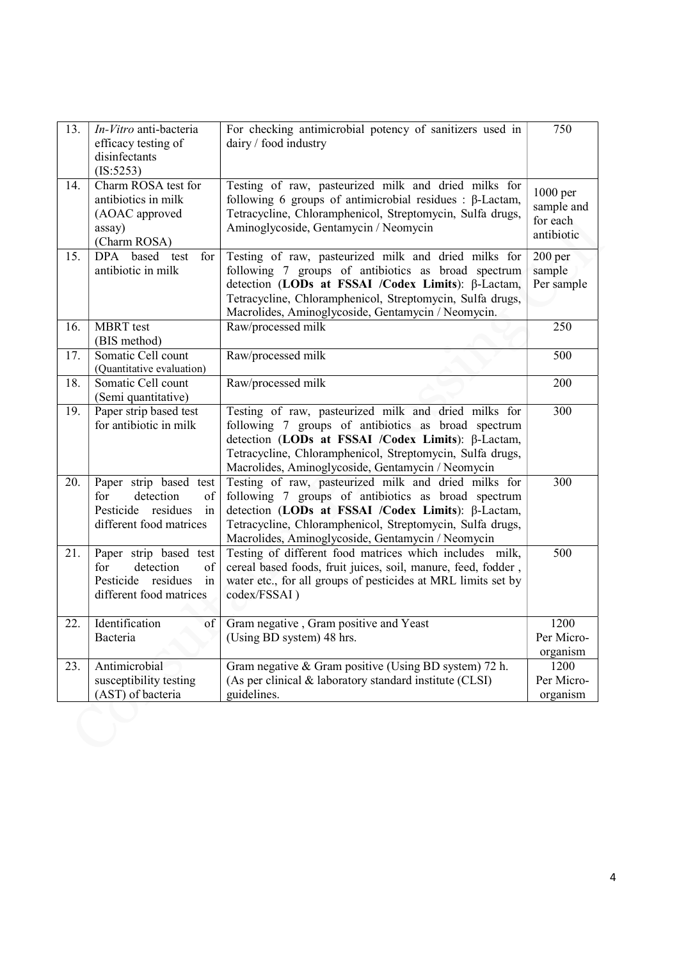| 13. | In-Vitro anti-bacteria<br>efficacy testing of<br>disinfectants<br>(IS:5253)                                | For checking antimicrobial potency of sanitizers used in<br>dairy / food industry                                                                                                                                                                                                    | 750                                              |
|-----|------------------------------------------------------------------------------------------------------------|--------------------------------------------------------------------------------------------------------------------------------------------------------------------------------------------------------------------------------------------------------------------------------------|--------------------------------------------------|
| 14. | Charm ROSA test for<br>antibiotics in milk<br>(AOAC approved<br>assay)<br>(Charm ROSA)                     | Testing of raw, pasteurized milk and dried milks for<br>following 6 groups of antimicrobial residues : $\beta$ -Lactam,<br>Tetracycline, Chloramphenicol, Streptomycin, Sulfa drugs,<br>Aminoglycoside, Gentamycin / Neomycin                                                        | 1000 per<br>sample and<br>for each<br>antibiotic |
| 15. | based test<br><b>DPA</b><br>for<br>antibiotic in milk                                                      | Testing of raw, pasteurized milk and dried milks for<br>following 7 groups of antibiotics as broad spectrum<br>detection (LODs at FSSAI /Codex Limits): β-Lactam,<br>Tetracycline, Chloramphenicol, Streptomycin, Sulfa drugs,<br>Macrolides, Aminoglycoside, Gentamycin / Neomycin. | $200$ per<br>sample<br>Per sample                |
| 16. | <b>MBRT</b> test<br>(BIS method)                                                                           | Raw/processed milk                                                                                                                                                                                                                                                                   | 250                                              |
| 17. | Somatic Cell count<br>(Quantitative evaluation)                                                            | Raw/processed milk                                                                                                                                                                                                                                                                   | 500                                              |
| 18. | Somatic Cell count<br>(Semi quantitative)                                                                  | Raw/processed milk                                                                                                                                                                                                                                                                   | 200                                              |
| 19. | Paper strip based test<br>for antibiotic in milk                                                           | Testing of raw, pasteurized milk and dried milks for<br>following 7 groups of antibiotics as broad spectrum<br>detection (LODs at FSSAI /Codex Limits): β-Lactam,<br>Tetracycline, Chloramphenicol, Streptomycin, Sulfa drugs,<br>Macrolides, Aminoglycoside, Gentamycin / Neomycin  | 300                                              |
| 20. | Paper strip based test<br>detection<br>for<br>of<br>Pesticide<br>residues<br>in<br>different food matrices | Testing of raw, pasteurized milk and dried milks for<br>following 7 groups of antibiotics as broad spectrum<br>detection (LODs at FSSAI /Codex Limits): β-Lactam,<br>Tetracycline, Chloramphenicol, Streptomycin, Sulfa drugs,<br>Macrolides, Aminoglycoside, Gentamycin / Neomycin  |                                                  |
| 21. | Paper strip based test<br>detection<br>for<br>of<br>Pesticide residues<br>in<br>different food matrices    | Testing of different food matrices which includes milk,<br>cereal based foods, fruit juices, soil, manure, feed, fodder,<br>water etc., for all groups of pesticides at MRL limits set by<br>codex/FSSAI)                                                                            |                                                  |
| 22. | Identification<br>of<br>Bacteria                                                                           | Gram negative, Gram positive and Yeast<br>(Using BD system) 48 hrs.                                                                                                                                                                                                                  | 1200<br>Per Micro-                               |
|     |                                                                                                            |                                                                                                                                                                                                                                                                                      | organism                                         |
| 23. | Antimicrobial<br>susceptibility testing<br>(AST) of bacteria                                               | Gram negative & Gram positive (Using BD system) 72 h.<br>(As per clinical & laboratory standard institute (CLSI)<br>guidelines.                                                                                                                                                      | 1200<br>Per Micro-<br>organism                   |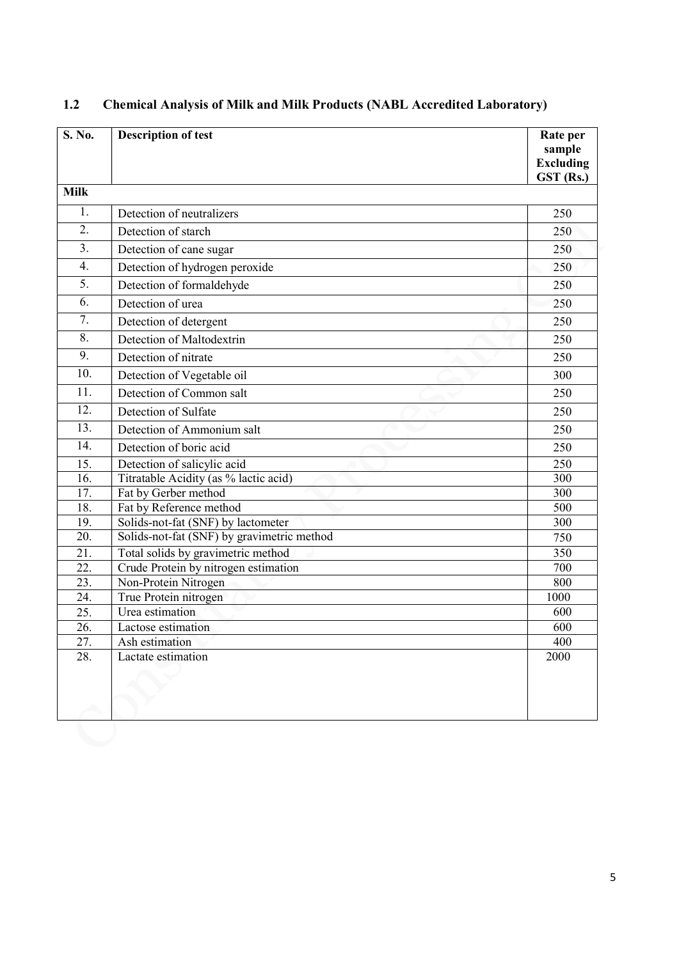| S. No.            | <b>Description of test</b>                 | Rate per<br>sample<br><b>Excluding</b><br>GST (Rs.) |
|-------------------|--------------------------------------------|-----------------------------------------------------|
| <b>Milk</b>       |                                            |                                                     |
| 1.                | Detection of neutralizers                  | 250                                                 |
| 2.                | Detection of starch                        | 250                                                 |
| 3.                | Detection of cane sugar                    | 250                                                 |
| $\overline{4}$ .  | Detection of hydrogen peroxide             | 250                                                 |
| 5.                | Detection of formaldehyde                  | 250                                                 |
| 6.                | Detection of urea                          | 250                                                 |
| 7.                | Detection of detergent                     | 250                                                 |
| 8.                | Detection of Maltodextrin                  | 250                                                 |
| 9.                | Detection of nitrate                       | 250                                                 |
| 10.               | Detection of Vegetable oil                 | 300                                                 |
| 11.               | Detection of Common salt                   | 250                                                 |
| 12.               | Detection of Sulfate                       | 250                                                 |
| 13.               | Detection of Ammonium salt                 | 250                                                 |
| 14.               | Detection of boric acid                    | 250                                                 |
| 15.               | Detection of salicylic acid                | 250                                                 |
| $\overline{16}$ . | Titratable Acidity (as % lactic acid)      | 300                                                 |
| 17.               | Fat by Gerber method                       | 300                                                 |
| 18.               | Fat by Reference method                    | 500                                                 |
| 19.               | Solids-not-fat (SNF) by lactometer         | 300                                                 |
| 20.               | Solids-not-fat (SNF) by gravimetric method | 750                                                 |
| 21.               | Total solids by gravimetric method         | 350                                                 |
| 22.               | Crude Protein by nitrogen estimation       | 700                                                 |
| 23.               | Non-Protein Nitrogen                       | 800                                                 |
| 24.               | True Protein nitrogen                      | 1000                                                |
| 25.               | Urea estimation                            | 600                                                 |
| 26.               | Lactose estimation                         | 600                                                 |
| 27.               | Ash estimation                             | 400                                                 |
| 28.               | Lactate estimation                         | 2000                                                |
|                   |                                            |                                                     |
|                   |                                            |                                                     |
|                   |                                            |                                                     |
|                   |                                            |                                                     |

## 1.2 Chemical Analysis of Milk and Milk Products (NABL Accredited Laboratory)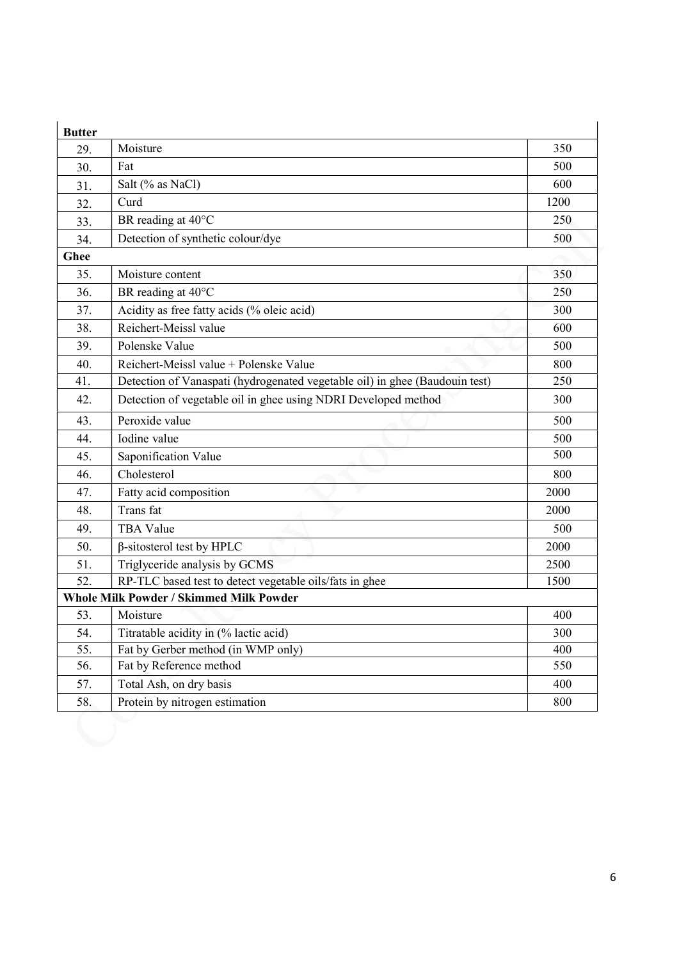| <b>Butter</b>     |                                                                             |      |
|-------------------|-----------------------------------------------------------------------------|------|
| 29.               | Moisture                                                                    | 350  |
| 30.               | Fat                                                                         | 500  |
| 31.               | Salt (% as NaCl)                                                            | 600  |
| 32.               | Curd                                                                        | 1200 |
| 33.               | BR reading at 40°C                                                          | 250  |
| 34.               | Detection of synthetic colour/dye                                           | 500  |
| <b>Ghee</b>       |                                                                             |      |
| 35.               | Moisture content                                                            | 350  |
| 36.               | BR reading at 40°C                                                          | 250  |
| 37.               | Acidity as free fatty acids (% oleic acid)                                  | 300  |
| 38.               | Reichert-Meissl value                                                       | 600  |
| 39.               | Polenske Value                                                              | 500  |
| 40.               | Reichert-Meissl value + Polenske Value                                      | 800  |
| 41.               | Detection of Vanaspati (hydrogenated vegetable oil) in ghee (Baudouin test) | 250  |
| 42.               | Detection of vegetable oil in ghee using NDRI Developed method              | 300  |
| 43.               | Peroxide value                                                              | 500  |
| 44.               | Iodine value                                                                | 500  |
| 45.               | Saponification Value                                                        | 500  |
| 46.               | Cholesterol                                                                 | 800  |
| 47.               | Fatty acid composition                                                      | 2000 |
| 48.               | Trans fat                                                                   | 2000 |
| 49.               | <b>TBA Value</b>                                                            | 500  |
| 50.               | $\beta$ -sitosterol test by HPLC                                            | 2000 |
| 51.               | Triglyceride analysis by GCMS                                               | 2500 |
| 52.               | RP-TLC based test to detect vegetable oils/fats in ghee                     | 1500 |
|                   | <b>Whole Milk Powder / Skimmed Milk Powder</b>                              |      |
| 53.               | Moisture                                                                    | 400  |
| 54.               | Titratable acidity in (% lactic acid)                                       | 300  |
| $\overline{55}$ . | Fat by Gerber method (in WMP only)                                          | 400  |
| 56.               | Fat by Reference method                                                     | 550  |
| 57.               | Total Ash, on dry basis                                                     | 400  |
| 58.               | Protein by nitrogen estimation                                              | 800  |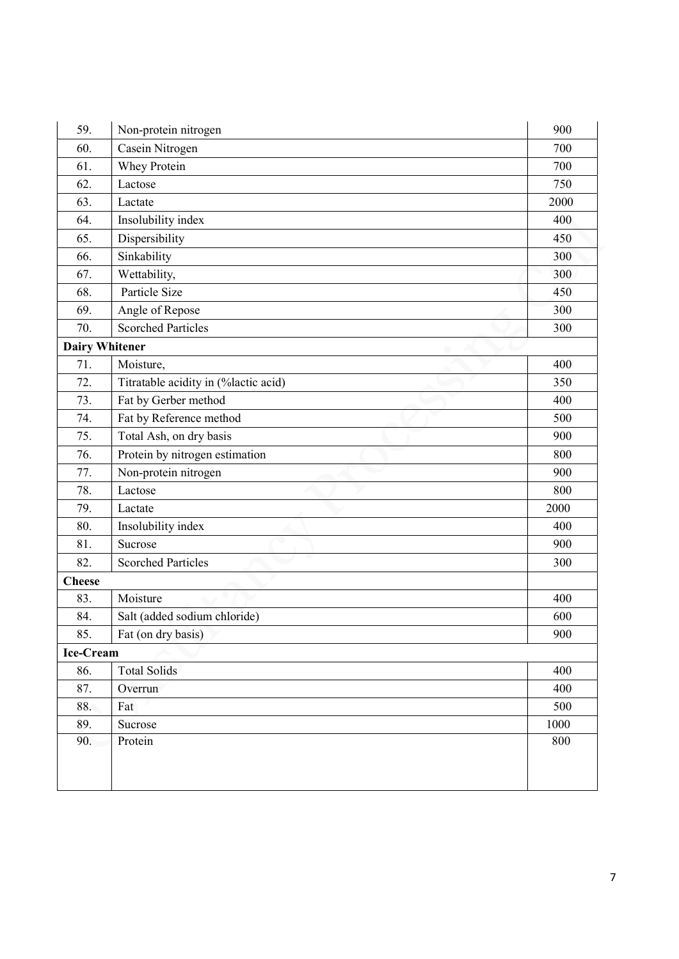| 59.                   | Non-protein nitrogen                 | 900  |
|-----------------------|--------------------------------------|------|
| 60.                   | Casein Nitrogen                      | 700  |
| 61.                   | <b>Whey Protein</b>                  | 700  |
| 62.                   | Lactose                              | 750  |
| 63.                   | Lactate                              | 2000 |
| 64.                   | Insolubility index                   | 400  |
| 65.                   | Dispersibility                       | 450  |
| 66.                   | Sinkability                          | 300  |
| 67.                   | Wettability,                         | 300  |
| 68.                   | Particle Size                        | 450  |
| 69.                   | Angle of Repose                      | 300  |
| 70.                   | <b>Scorched Particles</b>            | 300  |
| <b>Dairy Whitener</b> |                                      |      |
| 71.                   | Moisture,                            | 400  |
| 72.                   | Titratable acidity in (%lactic acid) | 350  |
| 73.                   | Fat by Gerber method                 | 400  |
| 74.                   | Fat by Reference method              | 500  |
| 75.                   | Total Ash, on dry basis              | 900  |
| 76.                   | Protein by nitrogen estimation       | 800  |
| 77.                   | Non-protein nitrogen                 | 900  |
| 78.                   | Lactose                              | 800  |
| 79.                   | Lactate                              | 2000 |
| 80.                   | Insolubility index                   | 400  |
| 81.                   | Sucrose                              | 900  |
| 82.                   | <b>Scorched Particles</b>            | 300  |
| <b>Cheese</b>         |                                      |      |
| 83.                   | Moisture                             | 400  |
| 84.                   | Salt (added sodium chloride)         | 600  |
| 85.                   | Fat (on dry basis)                   | 900  |
| Ice-Cream             |                                      |      |
| 86.                   | <b>Total Solids</b>                  | 400  |
| 87.                   | Overrun                              | 400  |
| 88.                   | Fat                                  | 500  |
| 89.                   | Sucrose                              | 1000 |
| 90.                   | Protein                              | 800  |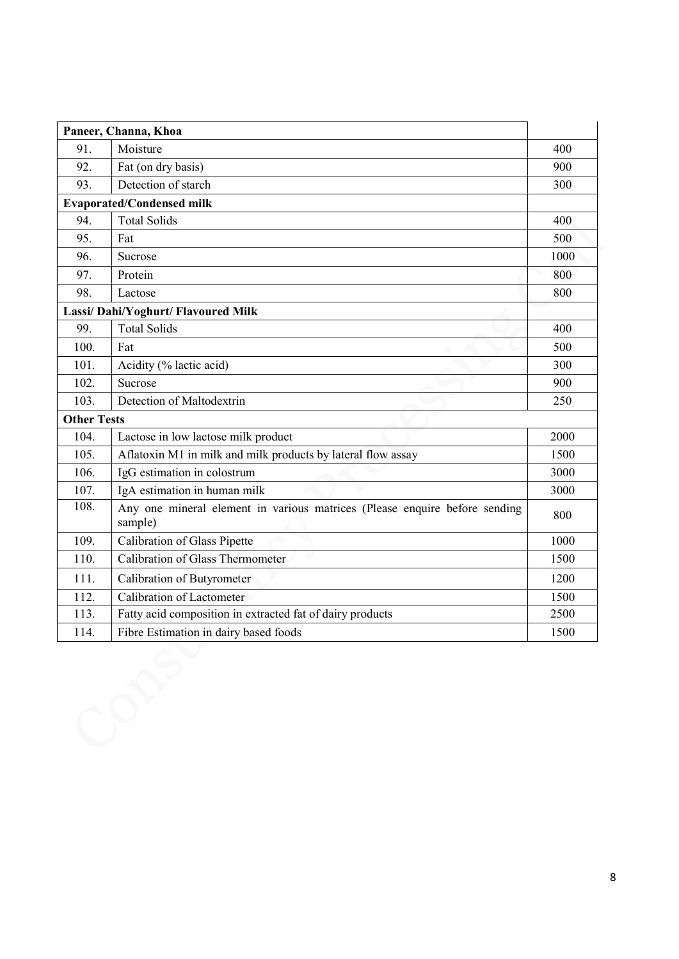|                    | Paneer, Channa, Khoa                                                                  |      |
|--------------------|---------------------------------------------------------------------------------------|------|
| 91.                | Moisture                                                                              | 400  |
| 92.                | Fat (on dry basis)                                                                    | 900  |
| 93.                | Detection of starch                                                                   | 300  |
|                    | <b>Evaporated/Condensed milk</b>                                                      |      |
| 94.                | <b>Total Solids</b>                                                                   | 400  |
| 95.                | Fat                                                                                   | 500  |
| 96.                | Sucrose                                                                               | 1000 |
| 97.                | Protein                                                                               | 800  |
| 98.                | Lactose                                                                               | 800  |
|                    | Lassi/ Dahi/Yoghurt/ Flavoured Milk                                                   |      |
| 99.                | <b>Total Solids</b>                                                                   | 400  |
| 100.               | Fat                                                                                   | 500  |
| 101.               | Acidity (% lactic acid)                                                               | 300  |
| 102.               | Sucrose                                                                               | 900  |
| 103.               | Detection of Maltodextrin                                                             | 250  |
| <b>Other Tests</b> |                                                                                       |      |
| 104.               | Lactose in low lactose milk product                                                   | 2000 |
| 105.               | Aflatoxin M1 in milk and milk products by lateral flow assay                          | 1500 |
| 106.               | IgG estimation in colostrum                                                           | 3000 |
| 107.               | IgA estimation in human milk                                                          | 3000 |
| 108.               | Any one mineral element in various matrices (Please enquire before sending<br>sample) | 800  |
| 109.               | <b>Calibration of Glass Pipette</b>                                                   | 1000 |
| 110.               | Calibration of Glass Thermometer                                                      | 1500 |
| 111.               | Calibration of Butyrometer                                                            | 1200 |
| 112.               | Calibration of Lactometer                                                             | 1500 |
| 113.               | Fatty acid composition in extracted fat of dairy products                             | 2500 |
| 114.               | Fibre Estimation in dairy based foods                                                 | 1500 |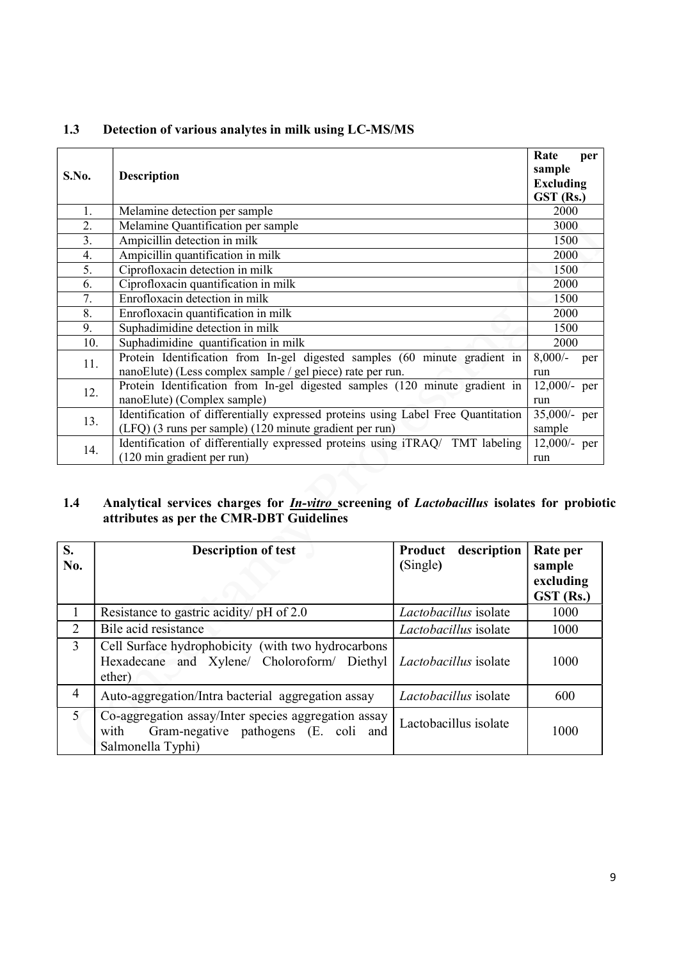| S.No.            | <b>Description</b>                                                                | Rate<br>per<br>sample         |
|------------------|-----------------------------------------------------------------------------------|-------------------------------|
|                  |                                                                                   | <b>Excluding</b><br>GST (Rs.) |
| 1.               | Melamine detection per sample                                                     | 2000                          |
| 2.               | Melamine Quantification per sample                                                | 3000                          |
| $\overline{3}$ . | Ampicillin detection in milk                                                      | 1500                          |
| 4.               | Ampicillin quantification in milk                                                 | 2000                          |
| 5.               | Ciprofloxacin detection in milk                                                   | 1500                          |
| 6.               | Ciprofloxacin quantification in milk                                              | 2000                          |
| 7.               | Enrofloxacin detection in milk                                                    | 1500                          |
| 8.               | Enrofloxacin quantification in milk                                               | 2000                          |
| 9.               | Suphadimidine detection in milk                                                   | 1500                          |
| 10.              | Suphadimidine quantification in milk                                              | 2000                          |
| 11.              | Protein Identification from In-gel digested samples (60 minute gradient in        | $8,000/-$<br>per              |
|                  | nanoElute) (Less complex sample / gel piece) rate per run.                        | run                           |
| 12.              | Protein Identification from In-gel digested samples (120 minute gradient in       | 12,000/- per                  |
|                  | nanoElute) (Complex sample)                                                       | run                           |
| 13.              | Identification of differentially expressed proteins using Label Free Quantitation | 35,000/- per                  |
|                  | (LFQ) (3 runs per sample) (120 minute gradient per run)                           | sample                        |
| 14.              | Identification of differentially expressed proteins using iTRAQ/ TMT labeling     | 12,000/- per                  |
|                  | (120 min gradient per run)                                                        | run                           |
|                  |                                                                                   |                               |

#### 1.3 Detection of various analytes in milk using LC-MS/MS

#### 1.4 Analytical services charges for *In-vitro* screening of *Lactobacillus* isolates for probiotic attributes as per the CMR-DBT Guidelines

| S.<br>No.      | <b>Description of test</b>                                                                                                | description<br>Product<br>(Single) | Rate per<br>sample<br>excluding<br>GST (Rs.) |
|----------------|---------------------------------------------------------------------------------------------------------------------------|------------------------------------|----------------------------------------------|
|                | Resistance to gastric acidity/ pH of 2.0                                                                                  | Lactobacillus isolate              | 1000                                         |
| 2              | Bile acid resistance                                                                                                      | Lactobacillus isolate              | 1000                                         |
| $\overline{3}$ | Cell Surface hydrophobicity (with two hydrocarbons<br>Hexadecane and Xylene/ Choloroform/ Diethyl<br>ether)               | Lactobacillus isolate              | 1000                                         |
| $\overline{4}$ | Auto-aggregation/Intra bacterial aggregation assay                                                                        | Lactobacillus isolate              | 600                                          |
| 5 <sup>1</sup> | Co-aggregation assay/Inter species aggregation assay<br>Gram-negative pathogens (E. coli and<br>with<br>Salmonella Typhi) | Lactobacillus isolate              | 1000                                         |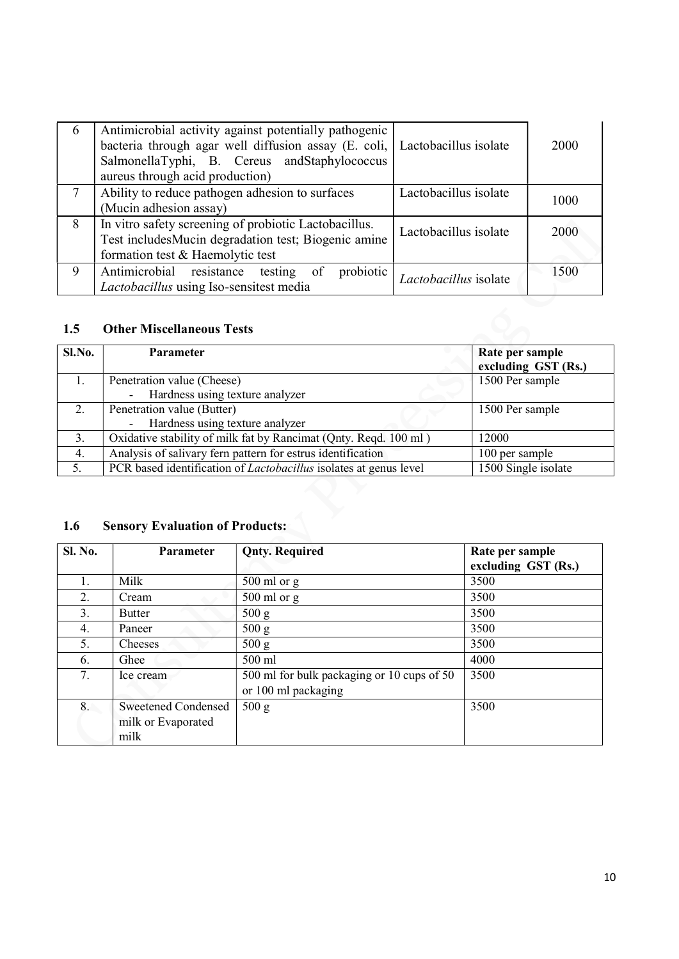| 6 | Antimicrobial activity against potentially pathogenic<br>bacteria through agar well diffusion assay $(E. \text{ coli},  $ Lactobacillus isolate<br>SalmonellaTyphi, B. Cereus andStaphylococcus<br>aureus through acid production) |                       | 2000 |
|---|------------------------------------------------------------------------------------------------------------------------------------------------------------------------------------------------------------------------------------|-----------------------|------|
|   | Ability to reduce pathogen adhesion to surfaces<br>(Mucin adhesion assay)                                                                                                                                                          | Lactobacillus isolate | 1000 |
| 8 | In vitro safety screening of probiotic Lactobacillus.<br>Test includes Mucin degradation test; Biogenic amine<br>formation test & Haemolytic test                                                                                  | Lactobacillus isolate | 2000 |
| 9 | Antimicrobial resistance testing of<br>probiotic<br>Lactobacillus using Iso-sensitest media                                                                                                                                        | Lactobacillus isolate | 1500 |

#### 1.5 Other Miscellaneous Tests

| Sl.No. | Parameter                                                                | Rate per sample<br>excluding GST (Rs.) |
|--------|--------------------------------------------------------------------------|----------------------------------------|
|        | Penetration value (Cheese)                                               | 1500 Per sample                        |
|        | Hardness using texture analyzer                                          |                                        |
| 2.     | Penetration value (Butter)                                               | 1500 Per sample                        |
|        | Hardness using texture analyzer                                          |                                        |
| 3.     | Oxidative stability of milk fat by Rancimat (Qnty. Reqd. 100 ml)         | 12000                                  |
| 4.     | Analysis of salivary fern pattern for estrus identification              | 100 per sample                         |
| 5.     | PCR based identification of <i>Lactobacillus</i> isolates at genus level | 1500 Single isolate                    |

# 1.6 Sensory Evaluation of Products:

| Sl. No. | <b>Parameter</b>           | <b>Qnty. Required</b>                      | Rate per sample     |
|---------|----------------------------|--------------------------------------------|---------------------|
|         |                            |                                            | excluding GST (Rs.) |
|         | Milk                       | $500$ ml or g                              | 3500                |
| 2.      | Cream                      | $500$ ml or g                              | 3500                |
| 3.      | <b>Butter</b>              | 500 g                                      | 3500                |
| 4.      | Paneer                     | 500 g                                      | 3500                |
| 5.      | Cheeses                    | 500 g                                      | 3500                |
| 6.      | Ghee                       | 500 ml                                     | 4000                |
| 7.      | Ice cream                  | 500 ml for bulk packaging or 10 cups of 50 | 3500                |
|         |                            | or 100 ml packaging                        |                     |
| 8.      | <b>Sweetened Condensed</b> | 500 g                                      | 3500                |
|         | milk or Evaporated         |                                            |                     |
|         | milk                       |                                            |                     |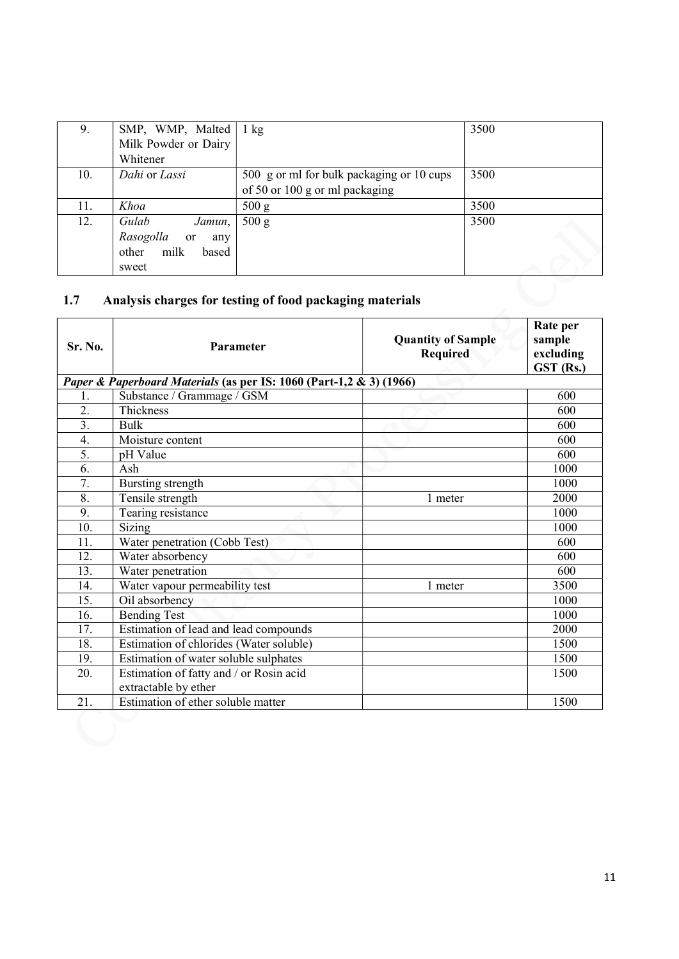| 9.  | SMP, WMP, Malted                  | $1 \text{ kg}$                                           | 3500 |  |  |
|-----|-----------------------------------|----------------------------------------------------------|------|--|--|
|     | Milk Powder or Dairy              |                                                          |      |  |  |
|     | Whitener                          |                                                          |      |  |  |
| 10. | Dahi or Lassi                     | 500 g or ml for bulk packaging or 10 cups                | 3500 |  |  |
|     |                                   | of 50 or 100 g or ml packaging                           |      |  |  |
| 11. | Khoa                              | 500 g                                                    | 3500 |  |  |
| 12. | Gulab<br>Jamun,                   | 500 g                                                    | 3500 |  |  |
|     | Rasogolla<br><sub>or</sub><br>any |                                                          |      |  |  |
|     | milk<br>other<br>based            |                                                          |      |  |  |
|     | sweet                             |                                                          |      |  |  |
|     |                                   |                                                          |      |  |  |
| 1.7 |                                   | Analysis charges for testing of food packaging materials |      |  |  |
|     |                                   |                                                          |      |  |  |

## 1.7 Analysis charges for testing of food packaging materials

| Sr. No.          | Parameter                                                           | <b>Quantity of Sample</b><br><b>Required</b> | Rate per<br>sample<br>excluding<br>GST (Rs.) |
|------------------|---------------------------------------------------------------------|----------------------------------------------|----------------------------------------------|
|                  | Paper & Paperboard Materials (as per IS: 1060 (Part-1,2 & 3) (1966) |                                              |                                              |
| 1.               | Substance / Grammage / GSM                                          |                                              | 600                                          |
| 2.               | Thickness                                                           |                                              | 600                                          |
| $\overline{3}$ . | <b>Bulk</b>                                                         |                                              | 600                                          |
| 4.               | Moisture content                                                    |                                              | 600                                          |
| $\overline{5}$ . | pH Value                                                            |                                              | 600                                          |
| 6.               | Ash                                                                 |                                              | 1000                                         |
| 7.               | Bursting strength                                                   |                                              | 1000                                         |
| 8.               | Tensile strength                                                    | 1 meter                                      | 2000                                         |
| 9.               | Tearing resistance                                                  |                                              | 1000                                         |
| 10.              | <b>Sizing</b>                                                       |                                              | 1000                                         |
| 11.              | Water penetration (Cobb Test)                                       |                                              | 600                                          |
| 12.              | Water absorbency                                                    |                                              | 600                                          |
| 13.              | Water penetration                                                   |                                              | 600                                          |
| 14.              | Water vapour permeability test                                      | 1 meter                                      | 3500                                         |
| 15.              | Oil absorbency                                                      |                                              | 1000                                         |
| 16.              | <b>Bending Test</b>                                                 |                                              | 1000                                         |
| 17.              | Estimation of lead and lead compounds                               |                                              | 2000                                         |
| 18.              | Estimation of chlorides (Water soluble)                             |                                              | 1500                                         |
| 19.              | Estimation of water soluble sulphates                               |                                              | 1500                                         |
| 20.              | Estimation of fatty and / or Rosin acid                             |                                              | 1500                                         |
|                  | extractable by ether                                                |                                              |                                              |
| 21.              | Estimation of ether soluble matter                                  |                                              | 1500                                         |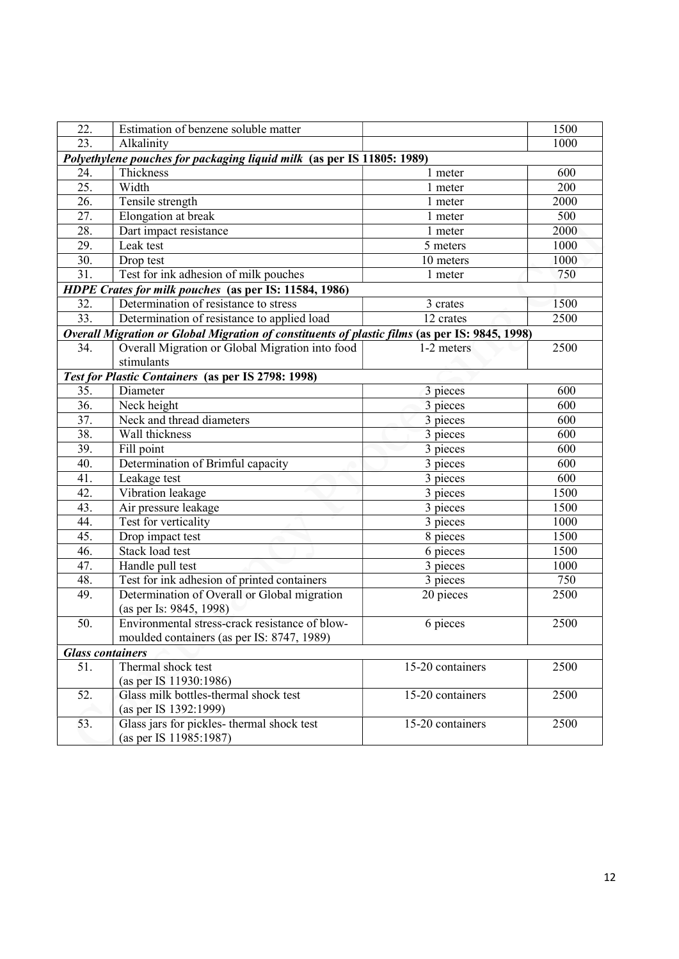| 22.                     | Estimation of benzene soluble matter                                                           |                       | 1500 |
|-------------------------|------------------------------------------------------------------------------------------------|-----------------------|------|
| 23.                     | Alkalinity                                                                                     |                       | 1000 |
|                         | Polyethylene pouches for packaging liquid milk (as per IS 11805: 1989)                         |                       |      |
| 24.                     | Thickness                                                                                      | 1 meter               | 600  |
| $\overline{25}$ .       | Width                                                                                          | 1 meter               | 200  |
| $\overline{26}$ .       | Tensile strength                                                                               | 1 meter               | 2000 |
| 27.                     | Elongation at break                                                                            | 1 meter               | 500  |
| 28.                     | Dart impact resistance                                                                         | 1 meter               | 2000 |
| 29.                     | Leak test                                                                                      | 5 meters              | 1000 |
| 30.                     | Drop test                                                                                      | 10 meters             | 1000 |
| $\overline{31}$ .       | Test for ink adhesion of milk pouches                                                          | 1 meter               | 750  |
|                         | HDPE Crates for milk pouches (as per IS: 11584, 1986)                                          |                       |      |
| 32.                     | Determination of resistance to stress                                                          | 3 crates              | 1500 |
| 33.                     | Determination of resistance to applied load                                                    | 12 crates             | 2500 |
|                         | Overall Migration or Global Migration of constituents of plastic films (as per IS: 9845, 1998) |                       |      |
| 34.                     | Overall Migration or Global Migration into food                                                | 1-2 meters            | 2500 |
|                         | stimulants                                                                                     |                       |      |
|                         | Test for Plastic Containers (as per IS 2798: 1998)                                             |                       |      |
| 35.                     | Diameter                                                                                       | 3 pieces              | 600  |
| 36.                     | Neck height                                                                                    | 3 pieces              | 600  |
| $\overline{37}$ .       | Neck and thread diameters                                                                      | 3 pieces              | 600  |
| 38.                     | Wall thickness                                                                                 | 3 pieces              | 600  |
| 39.                     | Fill point                                                                                     | 3 pieces              | 600  |
| 40.                     | Determination of Brimful capacity                                                              | 3 pieces              | 600  |
| 41.                     | Leakage test                                                                                   | 3 pieces              | 600  |
| 42.                     | Vibration leakage                                                                              | $\overline{3}$ pieces | 1500 |
| 43.                     | Air pressure leakage                                                                           | 3 pieces              | 1500 |
| 44.                     | Test for verticality                                                                           | 3 pieces              | 1000 |
| 45.                     | Drop impact test                                                                               | 8 pieces              | 1500 |
| 46.                     | Stack load test                                                                                | 6 pieces              | 1500 |
| 47.                     | Handle pull test                                                                               | 3 pieces              | 1000 |
| 48.                     | Test for ink adhesion of printed containers                                                    | 3 pieces              | 750  |
| 49.                     | Determination of Overall or Global migration                                                   | 20 pieces             | 2500 |
|                         | (as per Is: 9845, 1998)                                                                        |                       |      |
| 50.                     | Environmental stress-crack resistance of blow-                                                 | 6 pieces              | 2500 |
|                         | moulded containers (as per IS: 8747, 1989)                                                     |                       |      |
| <b>Glass containers</b> |                                                                                                |                       |      |
| 51.                     | Thermal shock test                                                                             | 15-20 containers      | 2500 |
|                         | (as per IS 11930:1986)                                                                         |                       |      |
| 52.                     | Glass milk bottles-thermal shock test                                                          | 15-20 containers      | 2500 |
|                         | (as per IS 1392:1999)                                                                          |                       |      |
| 53.                     | Glass jars for pickles- thermal shock test                                                     | 15-20 containers      | 2500 |
|                         | (as per IS 11985:1987)                                                                         |                       |      |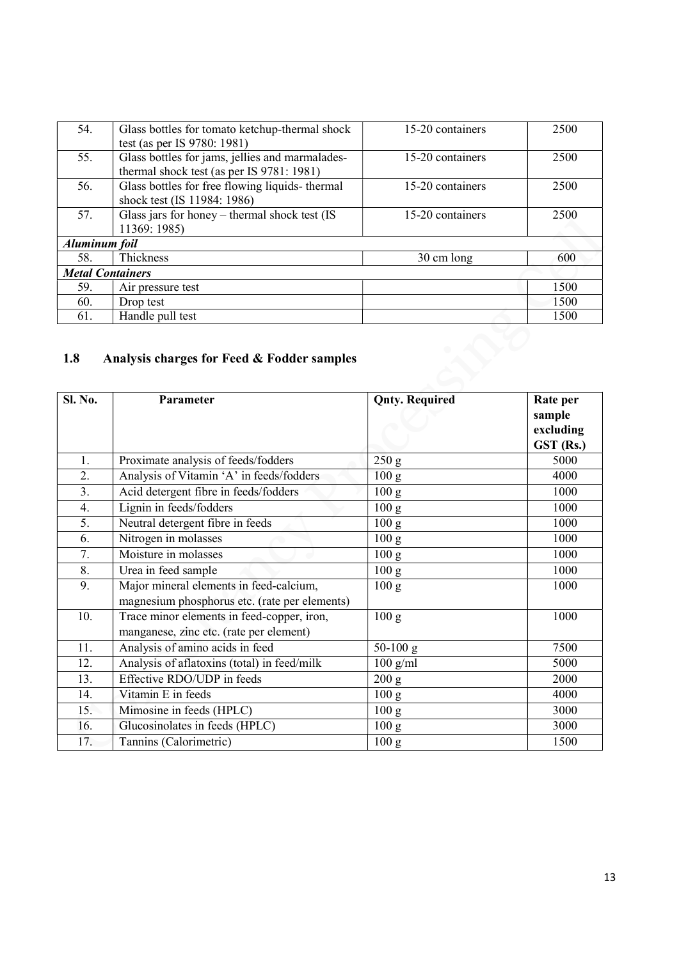| 54.                     | Glass bottles for tomato ketchup-thermal shock<br>test (as per IS 9780: 1981)                | 15-20 containers | 2500 |
|-------------------------|----------------------------------------------------------------------------------------------|------------------|------|
| 55.                     | Glass bottles for jams, jellies and marmalades-<br>thermal shock test (as per IS 9781: 1981) | 15-20 containers | 2500 |
| 56.                     | Glass bottles for free flowing liquids-thermal<br>shock test (IS 11984: 1986)                | 15-20 containers | 2500 |
| 57.                     | Glass jars for honey $-$ thermal shock test (IS<br>11369: 1985)                              | 15-20 containers | 2500 |
| Aluminum foil           |                                                                                              |                  |      |
| 58.                     | <b>Thickness</b>                                                                             | 30 cm long       | 600  |
| <b>Metal Containers</b> |                                                                                              |                  |      |
| 59.                     | Air pressure test                                                                            |                  | 1500 |
| 60.                     | Drop test                                                                                    |                  | 1500 |
| 61.                     | Handle pull test                                                                             |                  | 1500 |
| 1.8                     | Analysis charges for Feed & Fodder samples                                                   |                  |      |

## 1.8 Analysis charges for Feed & Fodder samples

| <b>Sl. No.</b>   | Parameter                                                                                | <b>Qnty. Required</b> | Rate per<br>sample<br>excluding<br>GST (Rs.) |
|------------------|------------------------------------------------------------------------------------------|-----------------------|----------------------------------------------|
| 1.               | Proximate analysis of feeds/fodders                                                      | 250 g                 | 5000                                         |
| $\overline{2}$ . | Analysis of Vitamin 'A' in feeds/fodders                                                 | 100 g                 | 4000                                         |
| 3 <sub>1</sub>   | Acid detergent fibre in feeds/fodders                                                    | 100 g                 | 1000                                         |
| 4.               | Lignin in feeds/fodders                                                                  | 100 <sub>g</sub>      | 1000                                         |
| 5.               | Neutral detergent fibre in feeds                                                         | 100 <sub>g</sub>      | 1000                                         |
| 6.               | Nitrogen in molasses                                                                     | 100 g                 | 1000                                         |
| 7.               | Moisture in molasses                                                                     | 100 g                 | 1000                                         |
| 8.               | Urea in feed sample                                                                      | 100 <sub>g</sub>      | 1000                                         |
| 9.               | Major mineral elements in feed-calcium,<br>magnesium phosphorus etc. (rate per elements) | 100 g                 | 1000                                         |
| 10.              | Trace minor elements in feed-copper, iron,<br>manganese, zinc etc. (rate per element)    | 100 g                 | 1000                                         |
| 11.              | Analysis of amino acids in feed                                                          | $50-100$ g            | 7500                                         |
| 12.              | Analysis of aflatoxins (total) in feed/milk                                              | $100$ g/ml            | 5000                                         |
| 13.              | Effective RDO/UDP in feeds                                                               | 200 g                 | 2000                                         |
| 14.              | Vitamin E in feeds                                                                       | 100 <sub>g</sub>      | 4000                                         |
| 15.              | Mimosine in feeds (HPLC)                                                                 | 100 g                 | 3000                                         |
| 16.              | Glucosinolates in feeds (HPLC)                                                           | 100 g                 | 3000                                         |
| 17.              | Tannins (Calorimetric)                                                                   | 100 <sub>g</sub>      | 1500                                         |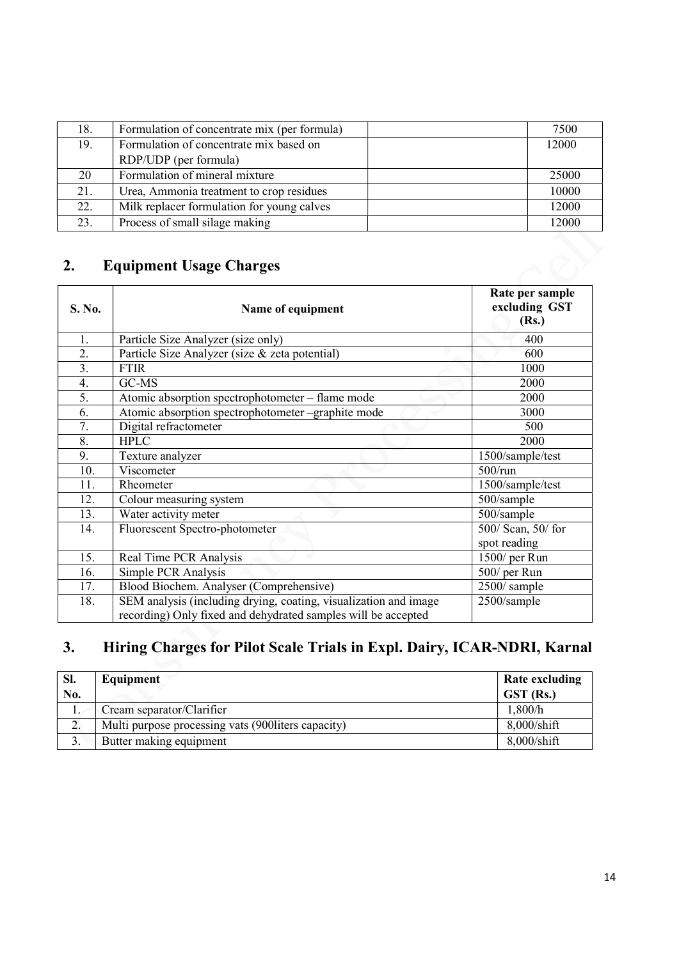| 18. | Formulation of concentrate mix (per formula) | 7500  |
|-----|----------------------------------------------|-------|
| 19. | Formulation of concentrate mix based on      |       |
|     | RDP/UDP (per formula)                        |       |
| 20  | Formulation of mineral mixture               | 25000 |
| 21. | Urea, Ammonia treatment to crop residues     | 10000 |
| 22. | Milk replacer formulation for young calves   | 12000 |
| 23. | Process of small silage making               | 12000 |

## 2. Equipment Usage Charges

| S. No. | Name of equipment                                                                                                                 | Rate per sample<br>excluding GST<br>(Rs.) |
|--------|-----------------------------------------------------------------------------------------------------------------------------------|-------------------------------------------|
| 1.     | Particle Size Analyzer (size only)                                                                                                | 400                                       |
| 2.     | Particle Size Analyzer (size & zeta potential)                                                                                    | 600                                       |
| 3.     | <b>FTIR</b>                                                                                                                       | 1000                                      |
| 4.     | GC-MS                                                                                                                             | 2000                                      |
| 5.     | Atomic absorption spectrophotometer – flame mode                                                                                  | 2000                                      |
| 6.     | Atomic absorption spectrophotometer -graphite mode                                                                                | 3000                                      |
| 7.     | Digital refractometer                                                                                                             | 500                                       |
| 8.     | <b>HPLC</b>                                                                                                                       | 2000                                      |
| 9.     | Texture analyzer                                                                                                                  | 1500/sample/test                          |
| 10.    | Viscometer                                                                                                                        | $500/\text{run}$                          |
| 11.    | Rheometer                                                                                                                         | 1500/sample/test                          |
| 12.    | Colour measuring system                                                                                                           | 500/sample                                |
| 13.    | Water activity meter                                                                                                              | 500/sample                                |
| 14.    | Fluorescent Spectro-photometer                                                                                                    | $\overline{500/}$ Scan, 50/for            |
|        |                                                                                                                                   | spot reading                              |
| 15.    | Real Time PCR Analysis                                                                                                            | 1500/ per Run                             |
| 16.    | Simple PCR Analysis                                                                                                               | 500/ per Run                              |
| 17.    | Blood Biochem. Analyser (Comprehensive)                                                                                           | 2500/sample                               |
| 18.    | SEM analysis (including drying, coating, visualization and image<br>recording) Only fixed and dehydrated samples will be accepted | 2500/sample                               |

# 3. Hiring Charges for Pilot Scale Trials in Expl. Dairy, ICAR-NDRI, Karnal

| Sl.             | Equipment                                           | Rate excluding       |
|-----------------|-----------------------------------------------------|----------------------|
| No.             |                                                     | $GST$ (Rs.)          |
|                 | Cream separator/Clarifier                           | 1,800/h              |
| $\bigcap$<br>۷. | Multi purpose processing vats (900 liters capacity) | $8,000/\text{shift}$ |
| .ر              | Butter making equipment                             | $8,000/\text{shift}$ |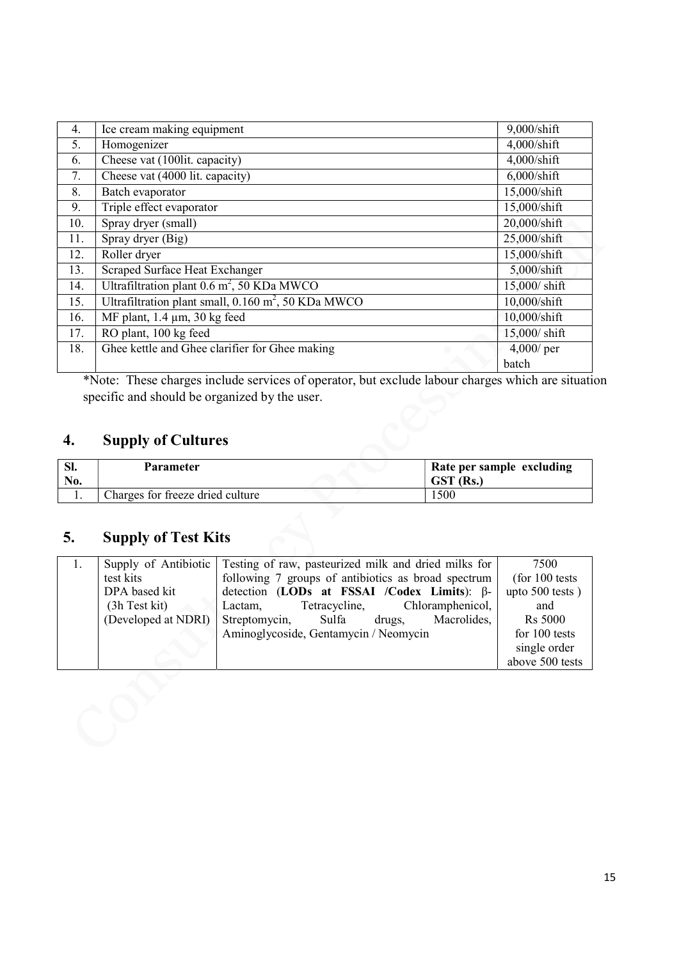| 4.  | Ice cream making equipment                                     | 9,000/shift           |
|-----|----------------------------------------------------------------|-----------------------|
| 5.  | Homogenizer                                                    | $4,000/\text{shift}$  |
| 6.  | Cheese vat (100lit. capacity)                                  | $4,000/\text{shift}$  |
| 7.  | Cheese vat (4000 lit. capacity)                                | $6,000/\text{shift}$  |
| 8.  | Batch evaporator                                               | 15,000/shift          |
| 9.  | Triple effect evaporator                                       | 15,000/shift          |
| 10. | Spray dryer (small)                                            | 20,000/shift          |
| 11. | Spray dryer (Big)                                              | 25,000/shift          |
| 12. | Roller dryer                                                   | 15,000/shift          |
| 13. | Scraped Surface Heat Exchanger                                 | 5,000/shift           |
| 14. | Ultrafiltration plant $0.6 \text{ m}^2$ , 50 KDa MWCO          | $15,000/$ shift       |
| 15. | Ultrafiltration plant small, $0.160 \text{ m}^2$ , 50 KDa MWCO | $10,000/\text{shift}$ |
| 16. | MF plant, $1.4 \mu m$ , $30 \text{ kg}$ feed                   | 10,000/shift          |
| 17. | RO plant, 100 kg feed                                          | 15,000/ shift         |
| 18. | Ghee kettle and Ghee clarifier for Ghee making                 | 4,000/ per            |
|     |                                                                | batch                 |

\*Note: These charges include services of operator, but exclude labour charges which are situation specific and should be organized by the user.

## 4. Supply of Cultures

| -SI.<br>No. | Parameter                        | Rate per sample excluding<br>GST (Rs.) |
|-------------|----------------------------------|----------------------------------------|
|             | Charges for freeze dried culture | 1500                                   |

# 5. Supply of Test Kits

| Supply of Antibiotic | Testing of raw, pasteurized milk and dried milks for | 7500              |
|----------------------|------------------------------------------------------|-------------------|
| test kits            | following 7 groups of antibiotics as broad spectrum  | $($ for 100 tests |
| DPA based kit        | detection (LODs at FSSAI /Codex Limits): $\beta$ -   | upto 500 tests)   |
| $(3h$ Test kit)      | Tetracycline, Chloramphenicol,<br>Lactam.            | and               |
| (Developed at NDRI)  | Streptomycin, Sulfa<br>Macrolides,<br>drugs,         | <b>Rs</b> 5000    |
|                      | Aminoglycoside, Gentamycin / Neomycin                | for 100 tests     |
|                      |                                                      | single order      |
|                      |                                                      | above 500 tests   |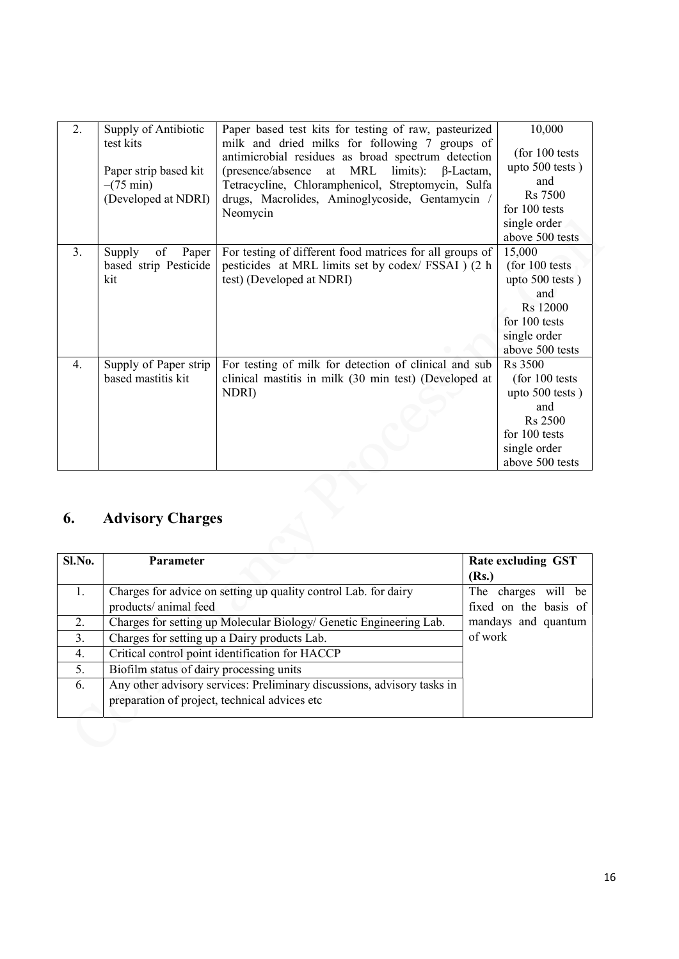| 2. | Supply of Antibiotic<br>test kits<br>Paper strip based kit<br>$-(75 \text{ min})$<br>(Developed at NDRI) | Paper based test kits for testing of raw, pasteurized<br>milk and dried milks for following 7 groups of<br>antimicrobial residues as broad spectrum detection<br>at MRL<br>limits):<br>(presence/absence)<br>$\beta$ -Lactam,<br>Tetracycline, Chloramphenicol, Streptomycin, Sulfa<br>drugs, Macrolides, Aminoglycoside, Gentamycin<br>Neomycin | 10,000<br>(for $100$ tests<br>upto $500$ tests)<br>and<br>Rs 7500<br>for 100 tests<br>single order<br>above 500 tests               |
|----|----------------------------------------------------------------------------------------------------------|--------------------------------------------------------------------------------------------------------------------------------------------------------------------------------------------------------------------------------------------------------------------------------------------------------------------------------------------------|-------------------------------------------------------------------------------------------------------------------------------------|
| 3. | Supply<br>of<br>Paper<br>based strip Pesticide<br>kit                                                    | For testing of different food matrices for all groups of<br>pesticides at MRL limits set by codex/ FSSAI ) (2 h<br>test) (Developed at NDRI)                                                                                                                                                                                                     | 15,000<br>(for 100 tests)<br>upto 500 tests)<br>and<br>Rs 12000<br>for 100 tests<br>single order<br>above 500 tests                 |
| 4. | Supply of Paper strip<br>based mastitis kit                                                              | For testing of milk for detection of clinical and sub<br>clinical mastitis in milk (30 min test) (Developed at<br>NDRI)                                                                                                                                                                                                                          | <b>Rs</b> 3500<br>$($ for 100 tests<br>upto 500 tests)<br>and<br><b>Rs</b> 2500<br>for 100 tests<br>single order<br>above 500 tests |

# 6. Advisory Charges

| Sl.No. | <b>Parameter</b>                                                        | Rate excluding GST    |
|--------|-------------------------------------------------------------------------|-----------------------|
|        |                                                                         | (Rs.)                 |
| 1.     | Charges for advice on setting up quality control Lab. for dairy         | The charges will be   |
|        | products/animal feed                                                    | fixed on the basis of |
| 2.     | Charges for setting up Molecular Biology/ Genetic Engineering Lab.      | mandays and quantum   |
| 3.     | Charges for setting up a Dairy products Lab.                            | of work               |
| 4.     | Critical control point identification for HACCP                         |                       |
| 5.     | Biofilm status of dairy processing units                                |                       |
| 6.     | Any other advisory services: Preliminary discussions, advisory tasks in |                       |
|        | preparation of project, technical advices etc                           |                       |
|        |                                                                         |                       |